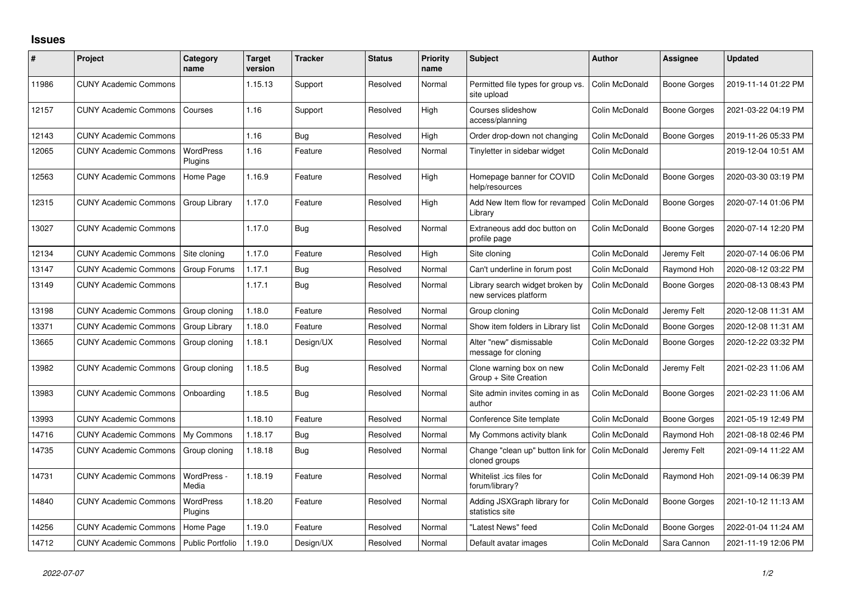## **Issues**

| ∦     | Project                      | Category<br>name            | Target<br>version | <b>Tracker</b> | <b>Status</b> | <b>Priority</b><br>name | <b>Subject</b>                                           | Author         | Assignee            | <b>Updated</b>      |
|-------|------------------------------|-----------------------------|-------------------|----------------|---------------|-------------------------|----------------------------------------------------------|----------------|---------------------|---------------------|
| 11986 | <b>CUNY Academic Commons</b> |                             | 1.15.13           | Support        | Resolved      | Normal                  | Permitted file types for group vs.<br>site upload        | Colin McDonald | Boone Gorges        | 2019-11-14 01:22 PM |
| 12157 | <b>CUNY Academic Commons</b> | Courses                     | 1.16              | Support        | Resolved      | High                    | Courses slideshow<br>access/planning                     | Colin McDonald | <b>Boone Gorges</b> | 2021-03-22 04:19 PM |
| 12143 | <b>CUNY Academic Commons</b> |                             | 1.16              | Bug            | Resolved      | High                    | Order drop-down not changing                             | Colin McDonald | <b>Boone Gorges</b> | 2019-11-26 05:33 PM |
| 12065 | <b>CUNY Academic Commons</b> | <b>WordPress</b><br>Plugins | 1.16              | Feature        | Resolved      | Normal                  | Tinyletter in sidebar widget                             | Colin McDonald |                     | 2019-12-04 10:51 AM |
| 12563 | <b>CUNY Academic Commons</b> | Home Page                   | 1.16.9            | Feature        | Resolved      | High                    | Homepage banner for COVID<br>help/resources              | Colin McDonald | <b>Boone Gorges</b> | 2020-03-30 03:19 PM |
| 12315 | <b>CUNY Academic Commons</b> | Group Library               | 1.17.0            | Feature        | Resolved      | High                    | Add New Item flow for revamped<br>Library                | Colin McDonald | Boone Gorges        | 2020-07-14 01:06 PM |
| 13027 | <b>CUNY Academic Commons</b> |                             | 1.17.0            | Bug            | Resolved      | Normal                  | Extraneous add doc button on<br>profile page             | Colin McDonald | Boone Gorges        | 2020-07-14 12:20 PM |
| 12134 | <b>CUNY Academic Commons</b> | Site cloning                | 1.17.0            | Feature        | Resolved      | High                    | Site cloning                                             | Colin McDonald | Jeremy Felt         | 2020-07-14 06:06 PM |
| 13147 | <b>CUNY Academic Commons</b> | Group Forums                | 1.17.1            | Bug            | Resolved      | Normal                  | Can't underline in forum post                            | Colin McDonald | Raymond Hoh         | 2020-08-12 03:22 PM |
| 13149 | <b>CUNY Academic Commons</b> |                             | 1.17.1            | Bug            | Resolved      | Normal                  | Library search widget broken by<br>new services platform | Colin McDonald | Boone Gorges        | 2020-08-13 08:43 PM |
| 13198 | <b>CUNY Academic Commons</b> | Group cloning               | 1.18.0            | Feature        | Resolved      | Normal                  | Group cloning                                            | Colin McDonald | Jeremy Felt         | 2020-12-08 11:31 AM |
| 13371 | <b>CUNY Academic Commons</b> | Group Library               | 1.18.0            | Feature        | Resolved      | Normal                  | Show item folders in Library list                        | Colin McDonald | Boone Gorges        | 2020-12-08 11:31 AM |
| 13665 | <b>CUNY Academic Commons</b> | Group cloning               | 1.18.1            | Design/UX      | Resolved      | Normal                  | Alter "new" dismissable<br>message for cloning           | Colin McDonald | Boone Gorges        | 2020-12-22 03:32 PM |
| 13982 | <b>CUNY Academic Commons</b> | Group cloning               | 1.18.5            | Bug            | Resolved      | Normal                  | Clone warning box on new<br>Group + Site Creation        | Colin McDonald | Jeremy Felt         | 2021-02-23 11:06 AM |
| 13983 | <b>CUNY Academic Commons</b> | Onboarding                  | 1.18.5            | Bug            | Resolved      | Normal                  | Site admin invites coming in as<br>author                | Colin McDonald | Boone Gorges        | 2021-02-23 11:06 AM |
| 13993 | <b>CUNY Academic Commons</b> |                             | 1.18.10           | Feature        | Resolved      | Normal                  | Conference Site template                                 | Colin McDonald | Boone Gorges        | 2021-05-19 12:49 PM |
| 14716 | <b>CUNY Academic Commons</b> | My Commons                  | 1.18.17           | <b>Bug</b>     | Resolved      | Normal                  | My Commons activity blank                                | Colin McDonald | Raymond Hoh         | 2021-08-18 02:46 PM |
| 14735 | <b>CUNY Academic Commons</b> | Group cloning               | 1.18.18           | <b>Bug</b>     | Resolved      | Normal                  | Change "clean up" button link for<br>cloned groups       | Colin McDonald | Jeremy Felt         | 2021-09-14 11:22 AM |
| 14731 | <b>CUNY Academic Commons</b> | WordPress -<br>Media        | 1.18.19           | Feature        | Resolved      | Normal                  | Whitelist .ics files for<br>forum/library?               | Colin McDonald | Raymond Hoh         | 2021-09-14 06:39 PM |
| 14840 | <b>CUNY Academic Commons</b> | <b>WordPress</b><br>Plugins | 1.18.20           | Feature        | Resolved      | Normal                  | Adding JSXGraph library for<br>statistics site           | Colin McDonald | Boone Gorges        | 2021-10-12 11:13 AM |
| 14256 | <b>CUNY Academic Commons</b> | Home Page                   | 1.19.0            | Feature        | Resolved      | Normal                  | "Latest News" feed                                       | Colin McDonald | Boone Gorges        | 2022-01-04 11:24 AM |
| 14712 | <b>CUNY Academic Commons</b> | <b>Public Portfolio</b>     | 1.19.0            | Design/UX      | Resolved      | Normal                  | Default avatar images                                    | Colin McDonald | Sara Cannon         | 2021-11-19 12:06 PM |